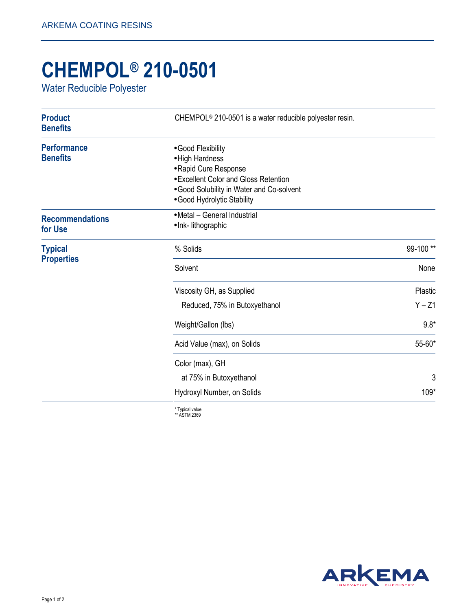## **CHEMPOL® 210-0501**

Water Reducible Polyester

| <b>Product</b><br><b>Benefits</b>     | CHEMPOL <sup>®</sup> 210-0501 is a water reducible polyester resin.                                                                                                                |          |
|---------------------------------------|------------------------------------------------------------------------------------------------------------------------------------------------------------------------------------|----------|
| <b>Performance</b><br><b>Benefits</b> | •Good Flexibility<br>• High Hardness<br>• Rapid Cure Response<br>• Excellent Color and Gloss Retention<br>. Good Solubility in Water and Co-solvent<br>• Good Hydrolytic Stability |          |
| <b>Recommendations</b><br>for Use     | • Metal - General Industrial<br>• Ink- lithographic                                                                                                                                |          |
| <b>Typical</b><br><b>Properties</b>   | % Solids                                                                                                                                                                           | 99-100** |
|                                       | Solvent                                                                                                                                                                            | None     |
|                                       | Viscosity GH, as Supplied                                                                                                                                                          | Plastic  |
|                                       | Reduced, 75% in Butoxyethanol                                                                                                                                                      | $Y - Z1$ |
|                                       | Weight/Gallon (lbs)                                                                                                                                                                | $9.8*$   |
|                                       | Acid Value (max), on Solids                                                                                                                                                        | 55-60*   |
|                                       | Color (max), GH                                                                                                                                                                    |          |
|                                       | at 75% in Butoxyethanol                                                                                                                                                            | 3        |
|                                       | Hydroxyl Number, on Solids                                                                                                                                                         | 109*     |
|                                       |                                                                                                                                                                                    |          |

\* Typical value \*\* ASTM 2369